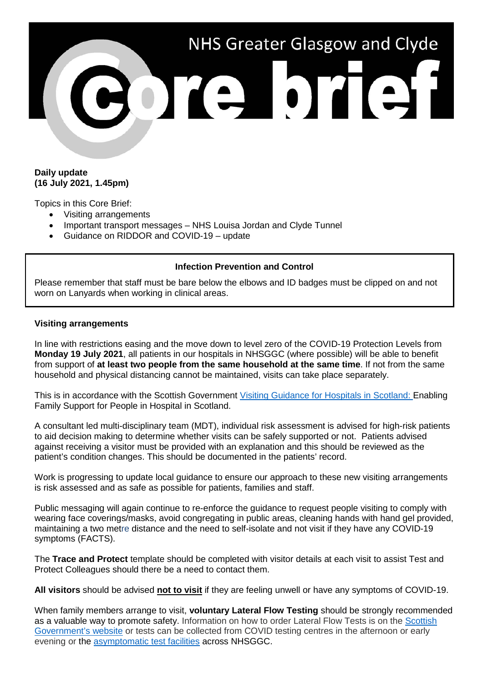

## **Daily update (16 July 2021, 1.45pm)**

Topics in this Core Brief:

- Visiting arrangements
- Important transport messages NHS Louisa Jordan and Clyde Tunnel
- Guidance on RIDDOR and COVID-19 update

# **Infection Prevention and Control**

Please remember that staff must be bare below the elbows and ID badges must be clipped on and not worn on Lanyards when working in clinical areas.

### **Visiting arrangements**

In line with restrictions easing and the move down to level zero of the COVID-19 Protection Levels from **Monday 19 July 2021**, all patients in our hospitals in NHSGGC (where possible) will be able to benefit from support of **at least two people from the same household at the same time**. If not from the same household and physical distancing cannot be maintained, visits can take place separately.

This is in accordance with the Scottish Government [Visiting Guidance for Hospitals in Scotland:](https://www.gov.scot/publications/coronavirus-covid-19-hospital-visiting-guidance/) Enabling Family Support for People in Hospital in Scotland.

A consultant led multi-disciplinary team (MDT), individual risk assessment is advised for high-risk patients to aid decision making to determine whether visits can be safely supported or not. Patients advised against receiving a visitor must be provided with an explanation and this should be reviewed as the patient's condition changes. This should be documented in the patients' record.

Work is progressing to update local guidance to ensure our approach to these new visiting arrangements is risk assessed and as safe as possible for patients, families and staff.

Public messaging will again continue to re-enforce the guidance to request people visiting to comply with wearing face coverings/masks, avoid congregating in public areas, cleaning hands with hand gel provided, maintaining a two metre distance and the need to self-isolate and not visit if they have any COVID-19 symptoms (FACTS).

The **Trace and Protect** template should be completed with visitor details at each visit to assist Test and Protect Colleagues should there be a need to contact them.

**All visitors** should be advised **not to visit** if they are feeling unwell or have any symptoms of COVID-19.

When family members arrange to visit, **voluntary Lateral Flow Testing** should be strongly recommended as a valuable way to promote safety. Information on how to order Lateral Flow Tests is on the [Scottish](https://www.gov.scot/publications/coronavirus-covid-19-getting-tested/pages/no-covid-symptoms/)  [Government's website](https://www.gov.scot/publications/coronavirus-covid-19-getting-tested/pages/no-covid-symptoms/) or tests can be collected from COVID testing centres in the afternoon or early evening or the [asymptomatic test facilities](https://www.nhsggc.org.uk/your-health/health-issues/covid-19-coronavirus/for-patients-the-public/asymptomatic-test-facilities/) across NHSGGC.